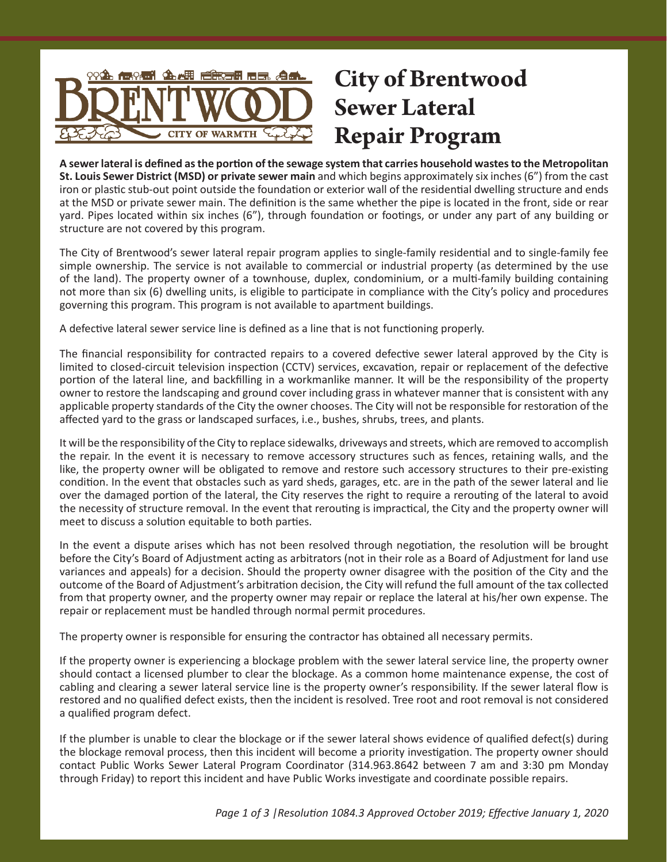

# **City of Brentwood Sewer Lateral Repair Program**

**A sewer lateral is defined as the portion of the sewage system that carries household wastes to the Metropolitan St. Louis Sewer District (MSD) or private sewer main** and which begins approximately six inches (6") from the cast iron or plastic stub-out point outside the foundation or exterior wall of the residential dwelling structure and ends at the MSD or private sewer main. The definition is the same whether the pipe is located in the front, side or rear yard. Pipes located within six inches (6"), through foundation or footings, or under any part of any building or structure are not covered by this program.

The City of Brentwood's sewer lateral repair program applies to single-family residential and to single-family fee simple ownership. The service is not available to commercial or industrial property (as determined by the use of the land). The property owner of a townhouse, duplex, condominium, or a multi-family building containing not more than six (6) dwelling units, is eligible to participate in compliance with the City's policy and procedures governing this program. This program is not available to apartment buildings.

A defective lateral sewer service line is defined as a line that is not functioning properly.

The financial responsibility for contracted repairs to a covered defective sewer lateral approved by the City is limited to closed-circuit television inspection (CCTV) services, excavation, repair or replacement of the defective portion of the lateral line, and backfilling in a workmanlike manner. It will be the responsibility of the property owner to restore the landscaping and ground cover including grass in whatever manner that is consistent with any applicable property standards of the City the owner chooses. The City will not be responsible for restoration of the affected yard to the grass or landscaped surfaces, i.e., bushes, shrubs, trees, and plants.

It will be the responsibility of the City to replace sidewalks, driveways and streets, which are removed to accomplish the repair. In the event it is necessary to remove accessory structures such as fences, retaining walls, and the like, the property owner will be obligated to remove and restore such accessory structures to their pre-existing condition. In the event that obstacles such as yard sheds, garages, etc. are in the path of the sewer lateral and lie over the damaged portion of the lateral, the City reserves the right to require a rerouting of the lateral to avoid the necessity of structure removal. In the event that rerouting is impractical, the City and the property owner will meet to discuss a solution equitable to both parties.

In the event a dispute arises which has not been resolved through negotiation, the resolution will be brought before the City's Board of Adjustment acting as arbitrators (not in their role as a Board of Adjustment for land use variances and appeals) for a decision. Should the property owner disagree with the position of the City and the outcome of the Board of Adjustment's arbitration decision, the City will refund the full amount of the tax collected from that property owner, and the property owner may repair or replace the lateral at his/her own expense. The repair or replacement must be handled through normal permit procedures.

The property owner is responsible for ensuring the contractor has obtained all necessary permits.

If the property owner is experiencing a blockage problem with the sewer lateral service line, the property owner should contact a licensed plumber to clear the blockage. As a common home maintenance expense, the cost of cabling and clearing a sewer lateral service line is the property owner's responsibility. If the sewer lateral flow is restored and no qualified defect exists, then the incident is resolved. Tree root and root removal is not considered a qualified program defect.

If the plumber is unable to clear the blockage or if the sewer lateral shows evidence of qualified defect(s) during the blockage removal process, then this incident will become a priority investigation. The property owner should contact Public Works Sewer Lateral Program Coordinator (314.963.8642 between 7 am and 3:30 pm Monday through Friday) to report this incident and have Public Works investigate and coordinate possible repairs.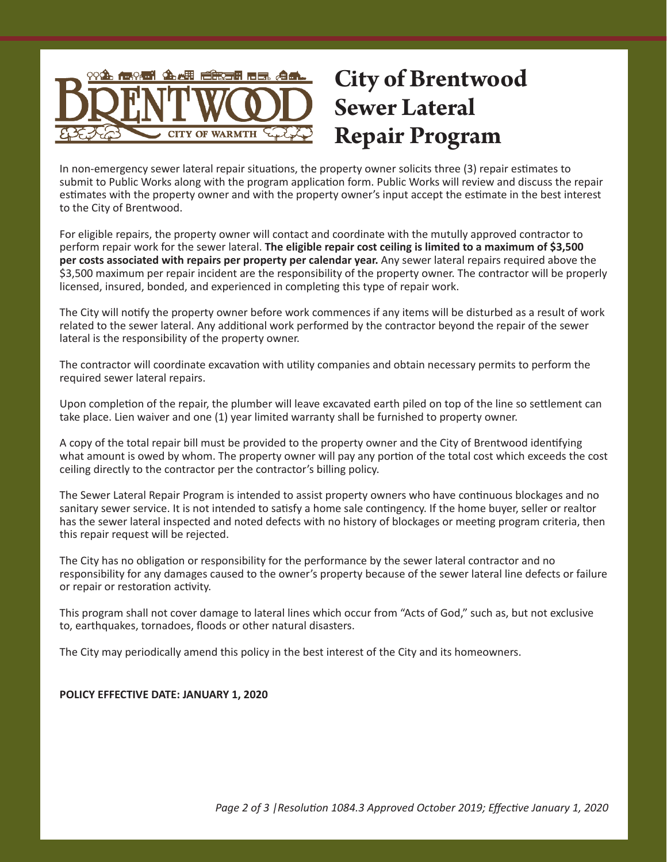

# **City of Brentwood Sewer Lateral Repair Program**

In non-emergency sewer lateral repair situations, the property owner solicits three (3) repair estimates to submit to Public Works along with the program application form. Public Works will review and discuss the repair estimates with the property owner and with the property owner's input accept the estimate in the best interest to the City of Brentwood.

For eligible repairs, the property owner will contact and coordinate with the mutully approved contractor to perform repair work for the sewer lateral. **The eligible repair cost ceiling is limited to a maximum of \$3,500 per costs associated with repairs per property per calendar year.** Any sewer lateral repairs required above the \$3,500 maximum per repair incident are the responsibility of the property owner. The contractor will be properly licensed, insured, bonded, and experienced in completing this type of repair work.

The City will notify the property owner before work commences if any items will be disturbed as a result of work related to the sewer lateral. Any additional work performed by the contractor beyond the repair of the sewer lateral is the responsibility of the property owner.

The contractor will coordinate excavation with utility companies and obtain necessary permits to perform the required sewer lateral repairs.

Upon completion of the repair, the plumber will leave excavated earth piled on top of the line so settlement can take place. Lien waiver and one (1) year limited warranty shall be furnished to property owner.

A copy of the total repair bill must be provided to the property owner and the City of Brentwood identifying what amount is owed by whom. The property owner will pay any portion of the total cost which exceeds the cost ceiling directly to the contractor per the contractor's billing policy.

The Sewer Lateral Repair Program is intended to assist property owners who have continuous blockages and no sanitary sewer service. It is not intended to satisfy a home sale contingency. If the home buyer, seller or realtor has the sewer lateral inspected and noted defects with no history of blockages or meeting program criteria, then this repair request will be rejected.

The City has no obligation or responsibility for the performance by the sewer lateral contractor and no responsibility for any damages caused to the owner's property because of the sewer lateral line defects or failure or repair or restoration activity.

This program shall not cover damage to lateral lines which occur from "Acts of God," such as, but not exclusive to, earthquakes, tornadoes, floods or other natural disasters.

The City may periodically amend this policy in the best interest of the City and its homeowners.

#### **POLICY EFFECTIVE DATE: JANUARY 1, 2020**